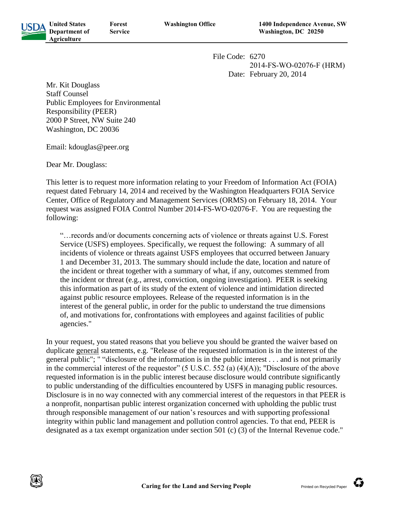

**Forest Service**

File Code: 6270 2014-FS-WO-02076-F (HRM) Date: February 20, 2014

Mr. Kit Douglass Staff Counsel Public Employees for Environmental Responsibility (PEER) 2000 P Street, NW Suite 240 Washington, DC 20036

Email: kdouglas@peer.org

Dear Mr. Douglass:

This letter is to request more information relating to your Freedom of Information Act (FOIA) request dated February 14, 2014 and received by the Washington Headquarters FOIA Service Center, Office of Regulatory and Management Services (ORMS) on February 18, 2014. Your request was assigned FOIA Control Number 2014-FS-WO-02076-F. You are requesting the following:

"…records and/or documents concerning acts of violence or threats against U.S. Forest Service (USFS) employees. Specifically, we request the following: A summary of all incidents of violence or threats against USFS employees that occurred between January 1 and December 31, 2013. The summary should include the date, location and nature of the incident or threat together with a summary of what, if any, outcomes stemmed from the incident or threat (e.g., arrest, conviction, ongoing investigation). PEER is seeking this information as part of its study of the extent of violence and intimidation directed against public resource employees. Release of the requested information is in the interest of the general public, in order for the public to understand the true dimensions of, and motivations for, confrontations with employees and against facilities of public agencies."

In your request, you stated reasons that you believe you should be granted the waiver based on duplicate general statements, e.g. "Release of the requested information is in the interest of the general public"; " "disclosure of the information is in the public interest . . . and is not primarily in the commercial interest of the requestor" (5 U.S.C. 552 (a) (4)(A)); "Disclosure of the above requested information is in the public interest because disclosure would contribute significantly to public understanding of the difficulties encountered by USFS in managing public resources. Disclosure is in no way connected with any commercial interest of the requestors in that PEER is a nonprofit, nonpartisan public interest organization concerned with upholding the public trust through responsible management of our nation's resources and with supporting professional integrity within public land management and pollution control agencies. To that end, PEER is designated as a tax exempt organization under section 501 (c) (3) of the Internal Revenue code."

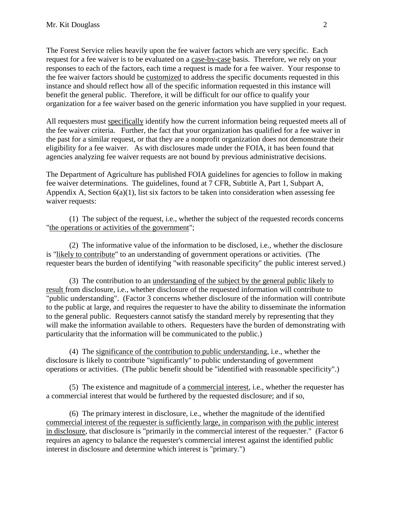The Forest Service relies heavily upon the fee waiver factors which are very specific. Each request for a fee waiver is to be evaluated on a case-by-case basis. Therefore, we rely on your responses to each of the factors, each time a request is made for a fee waiver. Your response to the fee waiver factors should be customized to address the specific documents requested in this instance and should reflect how all of the specific information requested in this instance will benefit the general public. Therefore, it will be difficult for our office to qualify your organization for a fee waiver based on the generic information you have supplied in your request.

All requesters must specifically identify how the current information being requested meets all of the fee waiver criteria. Further, the fact that your organization has qualified for a fee waiver in the past for a similar request, or that they are a nonprofit organization does not demonstrate their eligibility for a fee waiver. As with disclosures made under the FOIA, it has been found that agencies analyzing fee waiver requests are not bound by previous administrative decisions.

The Department of Agriculture has published FOIA guidelines for agencies to follow in making fee waiver determinations. The guidelines, found at 7 CFR, Subtitle A, Part 1, Subpart A, Appendix A, Section  $6(a)(1)$ , list six factors to be taken into consideration when assessing fee waiver requests:

(1) The subject of the request, i.e., whether the subject of the requested records concerns "the operations or activities of the government";

(2) The informative value of the information to be disclosed, i.e., whether the disclosure is "likely to contribute" to an understanding of government operations or activities. (The requester bears the burden of identifying "with reasonable specificity" the public interest served.)

(3) The contribution to an understanding of the subject by the general public likely to result from disclosure, i.e., whether disclosure of the requested information will contribute to "public understanding". (Factor 3 concerns whether disclosure of the information will contribute to the public at large, and requires the requester to have the ability to disseminate the information to the general public. Requesters cannot satisfy the standard merely by representing that they will make the information available to others. Requesters have the burden of demonstrating with particularity that the information will be communicated to the public.)

(4) The significance of the contribution to public understanding, i.e., whether the disclosure is likely to contribute "significantly" to public understanding of government operations or activities. (The public benefit should be "identified with reasonable specificity".)

(5) The existence and magnitude of a commercial interest, i.e., whether the requester has a commercial interest that would be furthered by the requested disclosure; and if so,

(6) The primary interest in disclosure, i.e., whether the magnitude of the identified commercial interest of the requester is sufficiently large, in comparison with the public interest in disclosure, that disclosure is "primarily in the commercial interest of the requester." (Factor 6 requires an agency to balance the requester's commercial interest against the identified public interest in disclosure and determine which interest is "primary.")